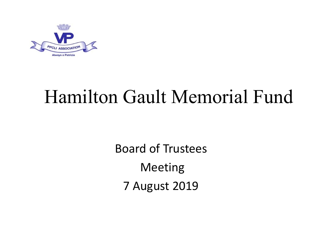

# Hamilton Gault Memorial Fund

Board of Trustees Meeting 7 August 2019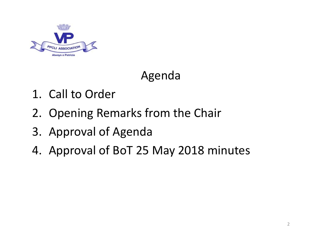

### Agenda

- 
- **2.** Opening Remarks from the Chair<br>
2. Opening Remarks from the Chair<br>
3. Approval of Agenda
- 
- Agenda<br>
3. Approval of Agenda<br>
4. Approval of Agenda<br>
4. Approval of BoT 25 May 2018 r Agenda<br>
1. Call to Order<br>
2. Opening Remarks from the Chair<br>
3. Approval of Agenda<br>
4. Approval of BoT 25 May 2018 minutes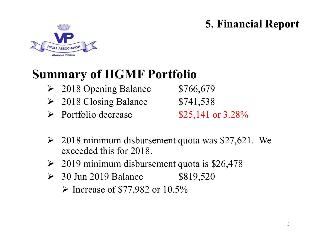#### 5. Financial Report



# Summary of HGMF Portfolio 5. Financial Report<br> **2018 Opening Balance** \$766,679<br>
2018 Closing Balance \$741,538<br>
2018 Closing Balance \$741,538<br>
2018 Closing Balance \$741,538<br>
2018 Closing Balance \$741,538 5. Financial Report<br> **2018 Opening Balance** \$766,679<br>
<br>
2018 Closing Balance \$741,538<br>
<br>
2018 Closing Balance \$741,538<br>
<br>
2018 Closing Balance \$741,538<br>
<br>
2018 Closing Balance \$754,538

- 
- 
- $\triangleright$  Portfolio decrease \$25,141 or 3.28%

- $\geq$  2018 minimum disbursement quota was \$27,621. We exceeded this for 2018. **THGIMF POTTOIIO**<br>
→ 2018 Opening Balance \$766,679<br>
→ 2018 Closing Balance \$741,538<br>
→ Portfolio decrease \$25,141 or 3.28%<br>
→ 2018 minimum disbursement quota was \$27,621. We<br>
exceeded this for 2018.<br>
→ 2019 minimum disbu
- $\geq 2019$  minimum disbursement quota is \$26,478
- 

 $\triangleright$  Increase of \$77,982 or 10.5%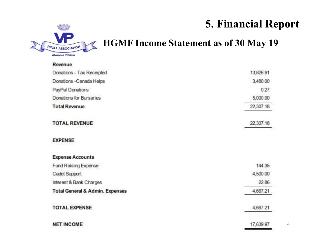#### 5. Financial Report



#### HGMF Income Statement as of 30 May 19

| Revenue                                    |           |
|--------------------------------------------|-----------|
| Donations - Tax Receipted                  | 13,826.91 |
| Donations - Canada Helps                   | 3,480.00  |
| PayPal Donations                           | 0.27      |
| Donations for Bursaries                    | 5,000.00  |
| <b>Total Revenue</b>                       | 22,307.18 |
| <b>TOTAL REVENUE</b>                       | 22,307.18 |
| <b>EXPENSE</b>                             |           |
| <b>Expense Accounts</b>                    |           |
| Fund Raising Expense                       | 144.35    |
| Cadet Support                              | 4,500.00  |
| Interest & Bank Charges                    | 22.86     |
| <b>Total General &amp; Admin. Expenses</b> | 4,667.21  |
| <b>TOTAL EXPENSE</b>                       | 4,667.21  |
| <b>NET INCOME</b>                          | 17,639.97 |

4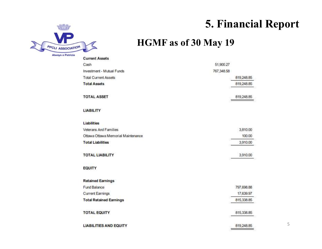

#### 5. Financial Report

#### HGMF as of 30 May 19

| <b>Current Assets</b>              |             |
|------------------------------------|-------------|
| Cash                               | 51,900.27   |
| Investment - Mutual Funds          | 767,348.58  |
| <b>Total Current Assets</b>        | 819,248.85  |
| <b>Total Assets</b>                | 819,248.85  |
| <b>TOTAL ASSET</b>                 | 819,248.85  |
| <b>LIABILITY</b>                   |             |
| Liabilities                        |             |
| Veterans And Families              | 3,810.00    |
| Ottawa Ottawa Memorial Maintenance | 100.00      |
| <b>Total Liabilities</b>           | 3,910.00    |
| <b>TOTAL LIABILITY</b>             | 3,910.00    |
| <b>EQUITY</b>                      |             |
| <b>Retained Earnings</b>           |             |
| Fund Balance                       | 797,698.88  |
| <b>Current Earnings</b>            | 17,639.97   |
| <b>Total Retained Earnings</b>     | 815,338.85  |
| <b>TOTAL EQUITY</b>                | 815, 338.85 |
| <b>LIABILITIES AND EQUITY</b>      | 819,248.85  |

5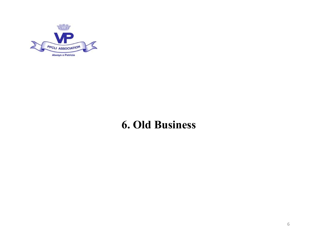

#### 6. Old Business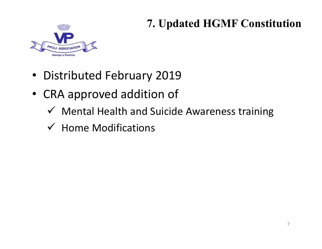#### 7. Updated HGMF Constitution



- Distributed February 2019
- CRA approved addition of
	- $\checkmark$  Mental Health and Suicide Awareness training
	- $\checkmark$  Home Modifications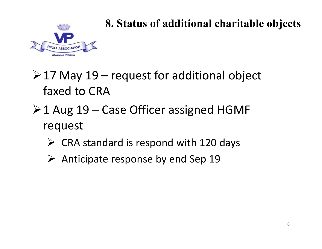

#### 8. Status of additional charitable objects

8. Status of additional charitable object<br>  $\sum_{n=0}^{\infty}$  May 19 – request for additional object<br>
faxed to CRA faxed to CRA

- 8. Status of additional charitable object<br>  $\geq 17$  May 19 request for additional object<br>  $\geq 1$  Aug 19 Case Officer assigned HGMF<br>
request<br>  $\geq$  CPA standard is respond with 120 days request
	- $\triangleright$  CRA standard is respond with 120 days
	- $\triangleright$  Anticipate response by end Sep 19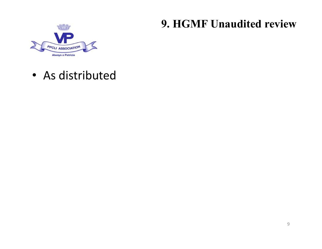#### 9. HGMF Unaudited review



• As distributed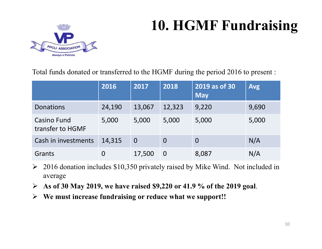# 10. HGMF Fundraising



| <b>10. HGMF Fundraising</b><br><b>PPCLI ASSOCIATION</b><br>Always a Patricia                                                                                |                                                                                                                                                                                                                                                                                                                                                                                                                                   |                |                |                                                                                                                                                                                                                                                                                                                         |       |  |
|-------------------------------------------------------------------------------------------------------------------------------------------------------------|-----------------------------------------------------------------------------------------------------------------------------------------------------------------------------------------------------------------------------------------------------------------------------------------------------------------------------------------------------------------------------------------------------------------------------------|----------------|----------------|-------------------------------------------------------------------------------------------------------------------------------------------------------------------------------------------------------------------------------------------------------------------------------------------------------------------------|-------|--|
|                                                                                                                                                             | Total funds donated or transferred to the HGMF during the period 2016 to present :<br>2019 as of 30<br>2016<br>2017<br>2018<br><b>Avg</b>                                                                                                                                                                                                                                                                                         |                |                |                                                                                                                                                                                                                                                                                                                         |       |  |
|                                                                                                                                                             |                                                                                                                                                                                                                                                                                                                                                                                                                                   |                |                | <b>May</b>                                                                                                                                                                                                                                                                                                              |       |  |
| <b>Donations</b>                                                                                                                                            | 24,190                                                                                                                                                                                                                                                                                                                                                                                                                            | 13,067         | 12,323         | 9,220                                                                                                                                                                                                                                                                                                                   | 9,690 |  |
| <b>Casino Fund</b><br>transfer to HGMF                                                                                                                      | 5,000                                                                                                                                                                                                                                                                                                                                                                                                                             | 5,000          | 5,000          | 5,000                                                                                                                                                                                                                                                                                                                   | 5,000 |  |
| Cash in investments                                                                                                                                         | 14,315                                                                                                                                                                                                                                                                                                                                                                                                                            | $\overline{0}$ | $\overline{0}$ | $\overline{0}$                                                                                                                                                                                                                                                                                                          | N/A   |  |
| Grants                                                                                                                                                      | $\overline{0}$                                                                                                                                                                                                                                                                                                                                                                                                                    | 17,500         | $\overline{0}$ | 8,087                                                                                                                                                                                                                                                                                                                   | N/A   |  |
| $\geq 2016$ donation includes \$10,350 privately raised by Mike Wind. Not included in<br>average<br>$\sim$ $\sim$ $\sim$ $\sim$ $\sim$ $\sim$ $\sim$ $\sim$ | $\begin{array}{ccc}\n\mathbf{A} & \mathbf{A} & \mathbf{A} & \mathbf{A} & \mathbf{A} & \mathbf{A} & \mathbf{A} & \mathbf{A} & \mathbf{A} & \mathbf{A} & \mathbf{A} & \mathbf{A} & \mathbf{A} & \mathbf{A} & \mathbf{A} & \mathbf{A} & \mathbf{A} & \mathbf{A} & \mathbf{A} & \mathbf{A} & \mathbf{A} & \mathbf{A} & \mathbf{A} & \mathbf{A} & \mathbf{A} & \mathbf{A} & \mathbf{A} & \mathbf{A} & \mathbf{A} & \mathbf{A} & \math$ |                |                | $\bullet$ 1,000,000 44,000 $\bullet$ 41,000 $\bullet$ 41,000 $\bullet$ 41,000 $\bullet$ 41,000 $\bullet$ 41,000 $\bullet$ 41,000 $\bullet$ 41,000 $\bullet$ 41,000 $\bullet$ 41,000 $\bullet$ 41,000 $\bullet$ 41,000 $\bullet$ 41,000 $\bullet$ 41,000 $\bullet$ 41,000 $\bullet$ 41,000 $\bullet$ 41,000 $\bullet$ 41 |       |  |

- $\geq 2016$  donation includes \$10,350 privately raised by Mike Wind. Not included in average
- $\triangleright$  As of 30 May 2019, we have raised \$9,220 or 41.9 % of the 2019 goal.
- $\triangleright$  We must increase fundraising or reduce what we support!!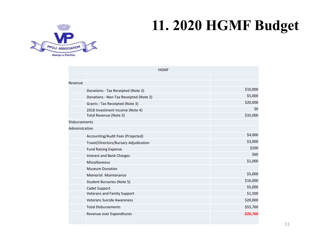## 11. 2020 HGMF Budget



| <b>11. 2020 HGMF Budget</b><br>5<br>HOITAI<br><b>HGMF</b><br>Revenue<br>\$10,000<br>Donations - Tax Receipted (Note 2)<br>\$5,000<br>Donations - Non-Tax Receipted (Note 2)<br>\$20,000<br>Grants - Tax Receipted (Note 3)<br>\$0<br>2018 Investment Income (Note 4)<br>Total Revenue (Note 2)<br>\$35,000<br>Disbursements<br>Administration<br>\$4,000<br>Accounting/Audit Fees (Projected)<br>\$3,000<br>Travel/Directors/Bursary Adjudication<br>\$200<br><b>Fund Raising Expense</b><br>\$60<br><b>Interest and Bank Charges</b><br>\$1,000<br>Miscellaneous<br><b>Museum Donation</b><br>\$5,000<br>Memorial Maintenance<br>\$16,000<br><b>Student Bursaries (Note 5)</b><br>\$5,000<br>Cadet Support<br><b>Veterans and Family Support</b><br>\$1,500<br>\$20,000<br>Veterans Suicide Awareness<br><b>Total Disbursements</b><br>\$55,760<br>$-$20,760$<br>Revenue over Expenditures |        |  |  |
|---------------------------------------------------------------------------------------------------------------------------------------------------------------------------------------------------------------------------------------------------------------------------------------------------------------------------------------------------------------------------------------------------------------------------------------------------------------------------------------------------------------------------------------------------------------------------------------------------------------------------------------------------------------------------------------------------------------------------------------------------------------------------------------------------------------------------------------------------------------------------------------------|--------|--|--|
|                                                                                                                                                                                                                                                                                                                                                                                                                                                                                                                                                                                                                                                                                                                                                                                                                                                                                             |        |  |  |
|                                                                                                                                                                                                                                                                                                                                                                                                                                                                                                                                                                                                                                                                                                                                                                                                                                                                                             |        |  |  |
|                                                                                                                                                                                                                                                                                                                                                                                                                                                                                                                                                                                                                                                                                                                                                                                                                                                                                             |        |  |  |
|                                                                                                                                                                                                                                                                                                                                                                                                                                                                                                                                                                                                                                                                                                                                                                                                                                                                                             |        |  |  |
|                                                                                                                                                                                                                                                                                                                                                                                                                                                                                                                                                                                                                                                                                                                                                                                                                                                                                             | tricia |  |  |
|                                                                                                                                                                                                                                                                                                                                                                                                                                                                                                                                                                                                                                                                                                                                                                                                                                                                                             |        |  |  |
|                                                                                                                                                                                                                                                                                                                                                                                                                                                                                                                                                                                                                                                                                                                                                                                                                                                                                             |        |  |  |
|                                                                                                                                                                                                                                                                                                                                                                                                                                                                                                                                                                                                                                                                                                                                                                                                                                                                                             |        |  |  |
|                                                                                                                                                                                                                                                                                                                                                                                                                                                                                                                                                                                                                                                                                                                                                                                                                                                                                             |        |  |  |
|                                                                                                                                                                                                                                                                                                                                                                                                                                                                                                                                                                                                                                                                                                                                                                                                                                                                                             |        |  |  |
|                                                                                                                                                                                                                                                                                                                                                                                                                                                                                                                                                                                                                                                                                                                                                                                                                                                                                             |        |  |  |
|                                                                                                                                                                                                                                                                                                                                                                                                                                                                                                                                                                                                                                                                                                                                                                                                                                                                                             |        |  |  |
|                                                                                                                                                                                                                                                                                                                                                                                                                                                                                                                                                                                                                                                                                                                                                                                                                                                                                             |        |  |  |
|                                                                                                                                                                                                                                                                                                                                                                                                                                                                                                                                                                                                                                                                                                                                                                                                                                                                                             |        |  |  |
|                                                                                                                                                                                                                                                                                                                                                                                                                                                                                                                                                                                                                                                                                                                                                                                                                                                                                             |        |  |  |
|                                                                                                                                                                                                                                                                                                                                                                                                                                                                                                                                                                                                                                                                                                                                                                                                                                                                                             |        |  |  |
|                                                                                                                                                                                                                                                                                                                                                                                                                                                                                                                                                                                                                                                                                                                                                                                                                                                                                             |        |  |  |
|                                                                                                                                                                                                                                                                                                                                                                                                                                                                                                                                                                                                                                                                                                                                                                                                                                                                                             |        |  |  |
|                                                                                                                                                                                                                                                                                                                                                                                                                                                                                                                                                                                                                                                                                                                                                                                                                                                                                             |        |  |  |
|                                                                                                                                                                                                                                                                                                                                                                                                                                                                                                                                                                                                                                                                                                                                                                                                                                                                                             |        |  |  |
|                                                                                                                                                                                                                                                                                                                                                                                                                                                                                                                                                                                                                                                                                                                                                                                                                                                                                             |        |  |  |
|                                                                                                                                                                                                                                                                                                                                                                                                                                                                                                                                                                                                                                                                                                                                                                                                                                                                                             |        |  |  |
|                                                                                                                                                                                                                                                                                                                                                                                                                                                                                                                                                                                                                                                                                                                                                                                                                                                                                             |        |  |  |
|                                                                                                                                                                                                                                                                                                                                                                                                                                                                                                                                                                                                                                                                                                                                                                                                                                                                                             |        |  |  |
|                                                                                                                                                                                                                                                                                                                                                                                                                                                                                                                                                                                                                                                                                                                                                                                                                                                                                             |        |  |  |
|                                                                                                                                                                                                                                                                                                                                                                                                                                                                                                                                                                                                                                                                                                                                                                                                                                                                                             |        |  |  |
|                                                                                                                                                                                                                                                                                                                                                                                                                                                                                                                                                                                                                                                                                                                                                                                                                                                                                             |        |  |  |
|                                                                                                                                                                                                                                                                                                                                                                                                                                                                                                                                                                                                                                                                                                                                                                                                                                                                                             |        |  |  |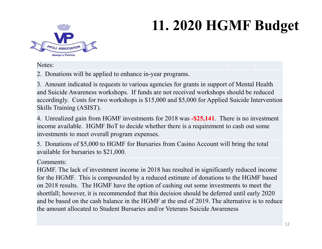# 11. 2020 HGMF Budget



Notes:

2. Donations will be applied to enhance in-year programs.

3. Amount indicated is requests to various agencies for grants in support of Mental Health and Suicide Awareness workshops. If funds are not received workshops should be reduced accordingly. Costs for two workshops is \$15,000 and \$5,000 for Applied Suicide Intervention Skills Training (ASIST).

4. Unrealized gain from HGMF investments for 2018 was -\$25,141. There is no investment income available. HGMF BoT to decide whether there is a requirement to cash out some investments to meet overall program expenses.

5. Donations of \$5,000 to HGMF for Bursaries from Casino Account will bring the total available for bursaries to \$21,000.

#### Comments:

HGMF. The lack of investment income in 2018 has resulted in significantly reduced income for the HGMF. This is compounded by a reduced estimate of donations to the HGMF based on 2018 results. The HGMF have the option of cashing out some investments to meet the shortfall; however, it is recommended that this decision should be deferred until early 2020 and be based on the cash balance in the HGMF at the end of 2019. The alternative is to reduce the amount allocated to Student Bursaries and/or Veterans Suicide Awareness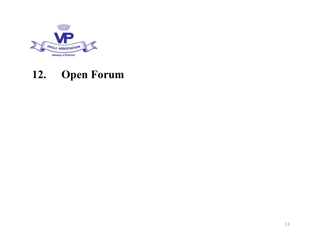